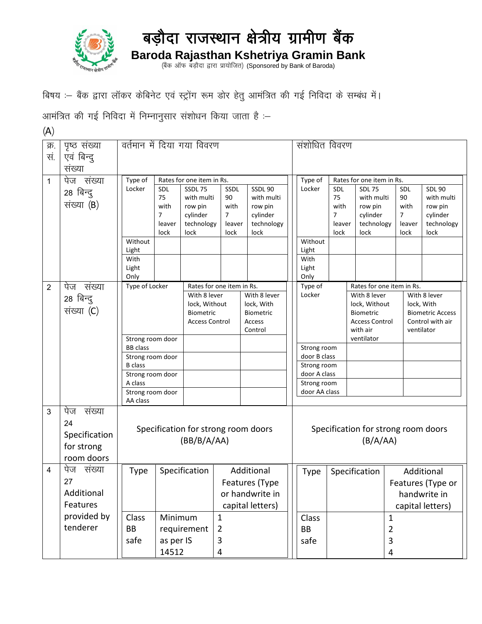

## बड़ौदा राजस्थान क्षेत्रीय ग्रामीण बैंक **Baroda Rajasthan Kshetriya Gramin Bank**

(बैंक ऑफ बड़ौदा द्वारा प्रायोजित) (Sponsored by Bank of Baroda)

बिषय :- बैंक द्वारा लॉकर केबिनेट एवं स्ट्रोंग रूम डोर हेतु आमंत्रित की गई निविदा के सम्बंध में।

आमंत्रित की गई निविदा में निम्नानुसार संशोधन किया जाता है :-

 $(A)$ 

| क्र.           | पृष्ठ संख्या  | वर्तमान में दिया गया विवरण          |                        |                               |                           |                            |  | संशोधित विवरण                       |            |                               |                |                        |                         |  |  |
|----------------|---------------|-------------------------------------|------------------------|-------------------------------|---------------------------|----------------------------|--|-------------------------------------|------------|-------------------------------|----------------|------------------------|-------------------------|--|--|
| सं.            | एवं बिन्दू    |                                     |                        |                               |                           |                            |  |                                     |            |                               |                |                        |                         |  |  |
|                | संख्या        |                                     |                        |                               |                           |                            |  |                                     |            |                               |                |                        |                         |  |  |
| 1              | पेज संख्या    | Type of                             |                        | Rates for one item in Rs.     |                           |                            |  | Type of                             |            | Rates for one item in Rs.     |                |                        |                         |  |  |
|                | 28 बिन्दु     | Locker                              | SDL                    | SSDL75                        | SSDL                      | SSDL 90                    |  | Locker                              | <b>SDL</b> | <b>SDL 75</b>                 |                | SDL                    | <b>SDL 90</b>           |  |  |
|                | संख्या (B)    |                                     | 75                     | with multi                    | 90                        | with multi                 |  |                                     | 75         | with multi                    |                | 90                     | with multi              |  |  |
|                |               |                                     | with<br>$\overline{7}$ | row pin<br>cylinder           | with<br>$\overline{7}$    | row pin<br>cylinder        |  |                                     | with<br>7  | row pin<br>cylinder           |                | with<br>$\overline{7}$ | row pin<br>cylinder     |  |  |
|                |               |                                     | leaver                 | technology                    | leaver                    | technology                 |  |                                     | leaver     | technology                    |                | leaver                 | technology              |  |  |
|                |               |                                     | lock                   | lock                          | lock                      | lock                       |  |                                     | lock       | lock                          |                | lock                   | lock                    |  |  |
|                |               | Without                             |                        |                               |                           |                            |  | Without                             |            |                               |                |                        |                         |  |  |
|                |               | Light<br>With                       |                        |                               |                           |                            |  | Light<br>With                       |            |                               |                |                        |                         |  |  |
|                |               | Light                               |                        |                               |                           |                            |  | Light                               |            |                               |                |                        |                         |  |  |
|                |               | Only                                |                        |                               |                           |                            |  | Only                                |            |                               |                |                        |                         |  |  |
| $\overline{2}$ | पेज संख्या    | Type of Locker                      |                        |                               | Rates for one item in Rs. |                            |  | Type of                             |            | Rates for one item in Rs.     |                |                        |                         |  |  |
|                | 28 बिन्दु     |                                     |                        | With 8 lever<br>lock, Without |                           | With 8 lever<br>lock, With |  | Locker                              |            | With 8 lever<br>lock, Without |                | lock, With             | With 8 lever            |  |  |
|                | संख्या (C)    |                                     |                        | <b>Biometric</b>              |                           | <b>Biometric</b>           |  |                                     |            | Biometric                     |                |                        | <b>Biometric Access</b> |  |  |
|                |               |                                     |                        | <b>Access Control</b>         |                           | Access                     |  |                                     |            | <b>Access Control</b>         |                |                        | Control with air        |  |  |
|                |               |                                     |                        |                               |                           | Control                    |  |                                     |            | with air<br>ventilator        |                | ventilator             |                         |  |  |
|                |               | Strong room door<br><b>BB</b> class |                        |                               |                           |                            |  | Strong room                         |            |                               |                |                        |                         |  |  |
|                |               | Strong room door                    |                        |                               |                           |                            |  | door B class                        |            |                               |                |                        |                         |  |  |
|                |               | <b>B</b> class                      |                        |                               |                           |                            |  | Strong room                         |            |                               |                |                        |                         |  |  |
|                |               | Strong room door                    |                        |                               |                           |                            |  | door A class                        |            |                               |                |                        |                         |  |  |
|                |               | A class<br>Strong room door         |                        |                               |                           |                            |  | Strong room<br>door AA class        |            |                               |                |                        |                         |  |  |
|                |               | AA class                            |                        |                               |                           |                            |  |                                     |            |                               |                |                        |                         |  |  |
| 3              | पेज<br>संख्या |                                     |                        |                               |                           |                            |  |                                     |            |                               |                |                        |                         |  |  |
|                | 24            |                                     |                        |                               |                           |                            |  |                                     |            |                               |                |                        |                         |  |  |
|                | Specification | Specification for strong room doors |                        |                               |                           |                            |  | Specification for strong room doors |            |                               |                |                        |                         |  |  |
|                | for strong    | (BB/B/A/AA)                         |                        |                               |                           |                            |  | (B/A/AA)                            |            |                               |                |                        |                         |  |  |
|                | room doors    |                                     |                        |                               |                           |                            |  |                                     |            |                               |                |                        |                         |  |  |
| 4              | पेज<br>संख्या | <b>Type</b>                         |                        | Specification                 |                           | Additional                 |  | <b>Type</b>                         |            | Specification                 |                |                        | Additional              |  |  |
|                | 27            |                                     |                        |                               |                           |                            |  |                                     |            | Features (Type or             |                |                        |                         |  |  |
|                | Additional    |                                     |                        |                               | Features (Type            |                            |  |                                     |            |                               |                |                        |                         |  |  |
|                | Features      |                                     |                        |                               | or handwrite in           |                            |  |                                     |            |                               |                |                        | handwrite in            |  |  |
|                | provided by   |                                     |                        |                               | capital letters)          |                            |  |                                     |            |                               |                | capital letters)       |                         |  |  |
|                | tenderer      | Class                               | Minimum                |                               | 1                         |                            |  | Class                               |            |                               | 1              |                        |                         |  |  |
|                |               | BB                                  |                        | requirement                   | $\overline{2}$            |                            |  | BB                                  |            |                               | $\overline{2}$ |                        |                         |  |  |
|                |               | safe                                | as per IS              |                               | 3                         |                            |  | safe                                |            |                               | 3              |                        |                         |  |  |
|                |               |                                     | 14512                  |                               | 4                         |                            |  |                                     |            |                               | $\overline{4}$ |                        |                         |  |  |